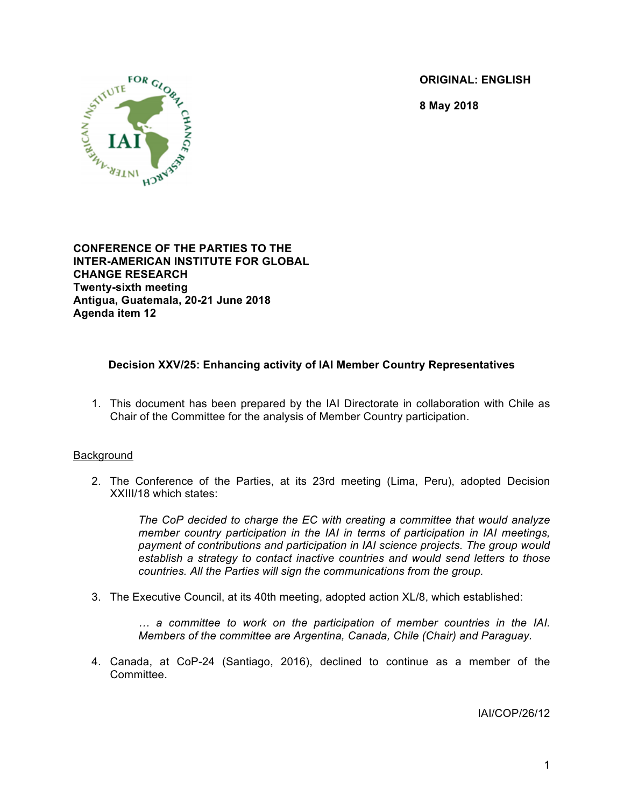**ORIGINAL: ENGLISH**

**8 May 2018**



**CONFERENCE OF THE PARTIES TO THE INTER-AMERICAN INSTITUTE FOR GLOBAL CHANGE RESEARCH Twenty-sixth meeting Antigua, Guatemala, 20-21 June 2018 Agenda item 12**

# **Decision XXV/25: Enhancing activity of IAI Member Country Representatives**

1. This document has been prepared by the IAI Directorate in collaboration with Chile as Chair of the Committee for the analysis of Member Country participation.

## **Background**

2. The Conference of the Parties, at its 23rd meeting (Lima, Peru), adopted Decision XXIII/18 which states:

> *The CoP decided to charge the EC with creating a committee that would analyze member country participation in the IAI in terms of participation in IAI meetings, payment of contributions and participation in IAI science projects. The group would establish a strategy to contact inactive countries and would send letters to those countries. All the Parties will sign the communications from the group.*

3. The Executive Council, at its 40th meeting, adopted action XL/8, which established:

*… a committee to work on the participation of member countries in the IAI. Members of the committee are Argentina, Canada, Chile (Chair) and Paraguay.*

4. Canada, at CoP-24 (Santiago, 2016), declined to continue as a member of the Committee.

IAI/COP/26/12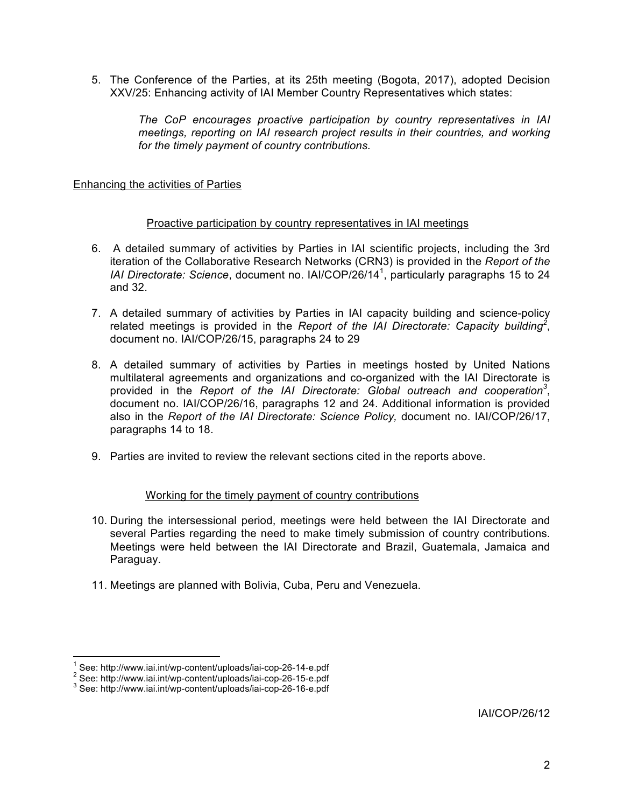5. The Conference of the Parties, at its 25th meeting (Bogota, 2017), adopted Decision XXV/25: Enhancing activity of IAI Member Country Representatives which states:

*The CoP encourages proactive participation by country representatives in IAI meetings, reporting on IAI research project results in their countries, and working for the timely payment of country contributions.*

## Enhancing the activities of Parties

### Proactive participation by country representatives in IAI meetings

- 6. A detailed summary of activities by Parties in IAI scientific projects, including the 3rd iteration of the Collaborative Research Networks (CRN3) is provided in the *Report of the IAI Directorate: Science*, document no. IAI/COP/26/14<sup>1</sup> , particularly paragraphs 15 to 24 and 32.
- 7. A detailed summary of activities by Parties in IAI capacity building and science-policy related meetings is provided in the *Report of the IAI Directorate: Capacity building<sup>2</sup>* , document no. IAI/COP/26/15, paragraphs 24 to 29
- 8. A detailed summary of activities by Parties in meetings hosted by United Nations multilateral agreements and organizations and co-organized with the IAI Directorate is provided in the *Report of the IAI Directorate: Global outreach and cooperation<sup>3</sup>* , document no. IAI/COP/26/16, paragraphs 12 and 24. Additional information is provided also in the *Report of the IAI Directorate: Science Policy,* document no. IAI/COP/26/17, paragraphs 14 to 18.
- 9. Parties are invited to review the relevant sections cited in the reports above.

#### Working for the timely payment of country contributions

- 10. During the intersessional period, meetings were held between the IAI Directorate and several Parties regarding the need to make timely submission of country contributions. Meetings were held between the IAI Directorate and Brazil, Guatemala, Jamaica and Paraguay.
- 11. Meetings are planned with Bolivia, Cuba, Peru and Venezuela.

IAI/COP/26/12

<sup>1</sup> See: http://www.iai.int/wp-content/uploads/iai-cop-26-14-e.pdf<br>  $2^2$  See: http://www.iai.int/wp-content/uploads/iai-cop-26-15-e.pdf<br>  $3$  See: http://www.iai.int/wp-content/uploads/iai-cop-26-16-e.pdf